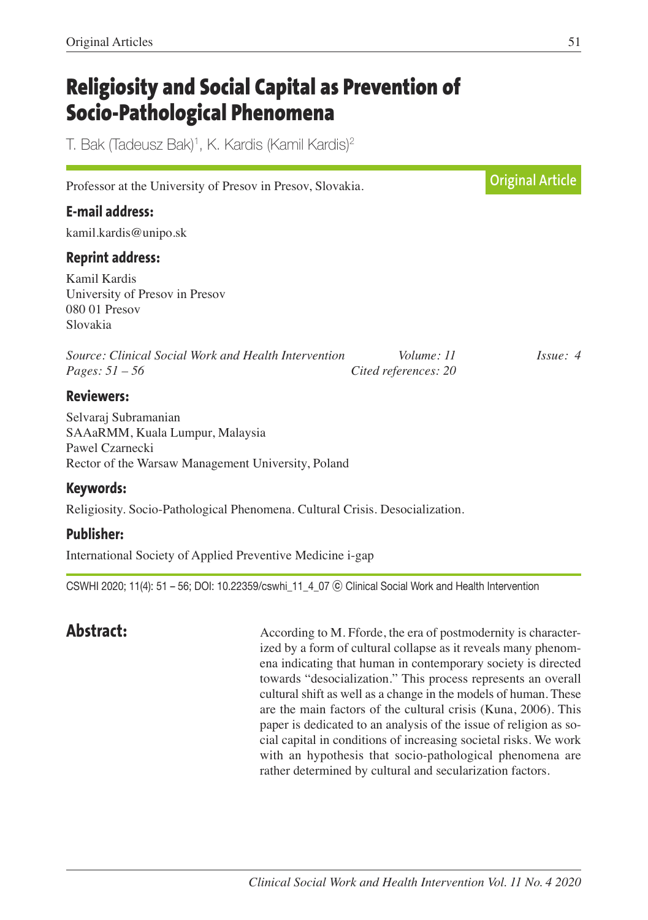# **Religiosity and Social Capital as Prevention of Socio-Pathological Phenomena**

T. Bak (Tadeusz Bak)<sup>1</sup>, K. Kardis (Kamil Kardis)<sup>2</sup>

| Professor at the University of Presov in Presov, Slovakia.                                                                       |                                    | <b>Original Article</b> |
|----------------------------------------------------------------------------------------------------------------------------------|------------------------------------|-------------------------|
| <b>E-mail address:</b>                                                                                                           |                                    |                         |
| kamil.kardis@unipo.sk                                                                                                            |                                    |                         |
| <b>Reprint address:</b>                                                                                                          |                                    |                         |
| Kamil Kardis<br>University of Presov in Presov<br>080 01 Presov<br>Slovakia                                                      |                                    |                         |
| Source: Clinical Social Work and Health Intervention<br><i>Pages:</i> $51 - 56$                                                  | Volume: 11<br>Cited references: 20 | $I_{SS}ue: 4$           |
| <b>Reviewers:</b>                                                                                                                |                                    |                         |
| Selvaraj Subramanian<br>SAAaRMM, Kuala Lumpur, Malaysia<br>Pawel Czarnecki<br>Rector of the Warsaw Management University, Poland |                                    |                         |
| Keywords:                                                                                                                        |                                    |                         |
| Religiosity. Socio-Pathological Phenomena. Cultural Crisis. Desocialization.                                                     |                                    |                         |

### **Publisher:**

International Society of Applied Preventive Medicine i-gap

CSWHI 2020; 11(4): 51 – 56; DOI: 10.22359/cswhi\_11\_4\_07 ⓒ Clinical Social Work and Health Intervention

**Abstract:** According to M. Fforde, the era of postmodernity is characterized by a form of cultural collapse as it reveals many phenomena indicating that human in contemporary society is directed towards "desocialization." This process represents an overall cultural shift as well as a change in the models of human. These are the main factors of the cultural crisis (Kuna, 2006). This paper is dedicated to an analysis of the issue of religion as social capital in conditions of increasing societal risks. We work with an hypothesis that socio-pathological phenomena are rather determined by cultural and secularization factors.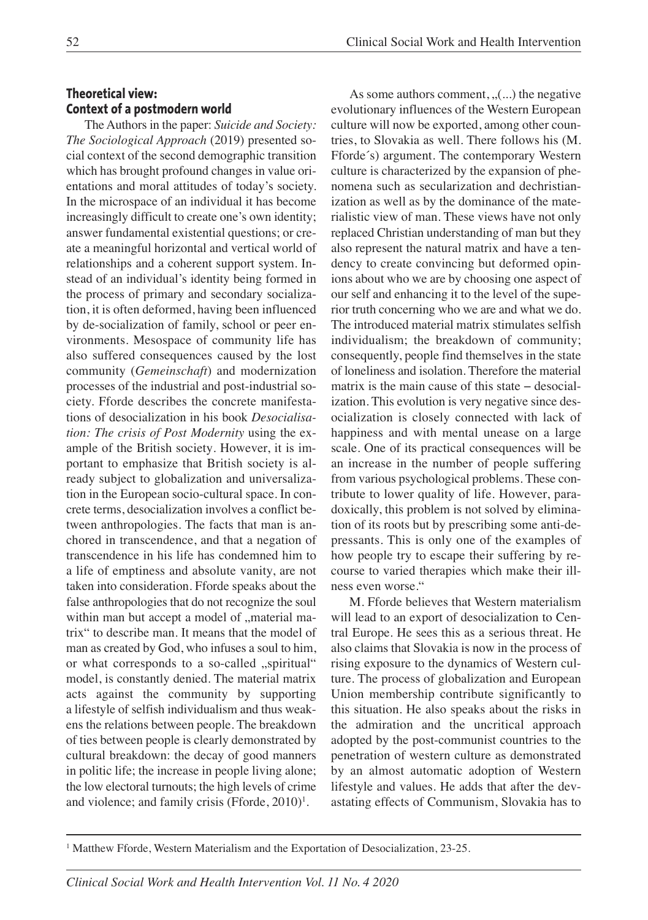#### **Theoretical view: Context of a postmodern world**

The Authors in the paper: *Suicide and Society: The Sociological Approach* (2019) presented social context of the second demographic transition which has brought profound changes in value orientations and moral attitudes of today's society. In the microspace of an individual it has become increasingly difficult to create one's own identity; answer fundamental existential questions; or create a meaningful horizontal and vertical world of relationships and a coherent support system. Instead of an individual's identity being formed in the process of primary and secondary socialization, it is often deformed, having been influenced by de-socialization of family, school or peer environments. Mesospace of community life has also suffered consequences caused by the lost community (*Gemeinschaft*) and modernization processes of the industrial and post-industrial society. Fforde describes the concrete manifestations of desocialization in his book *Desocialisation: The crisis of Post Modernity* using the example of the British society*.* However, it is important to emphasize that British society is already subject to globalization and universalization in the European socio-cultural space. In concrete terms, desocialization involves a conflict between anthropologies. The facts that man is anchored in transcendence, and that a negation of transcendence in his life has condemned him to a life of emptiness and absolute vanity, are not taken into consideration. Fforde speaks about the false anthropologies that do not recognize the soul within man but accept a model of "material matrix" to describe man. It means that the model of man as created by God, who infuses a soul to him, or what corresponds to a so-called "spiritual" model, is constantly denied. The material matrix acts against the community by supporting a lifestyle of selfish individualism and thus weakens the relations between people. The breakdown of ties between people is clearly demonstrated by cultural breakdown: the decay of good manners in politic life; the increase in people living alone; the low electoral turnouts; the high levels of crime and violence; and family crisis (Fforde,  $2010$ )<sup>1</sup>.

As some authors comment,  $($ ...) the negative evolutionary influences of the Western European culture will now be exported, among other countries, to Slovakia as well. There follows his (M. Fforde´s) argument. The contemporary Western culture is characterized by the expansion of phenomena such as secularization and dechristianization as well as by the dominance of the materialistic view of man. These views have not only replaced Christian understanding of man but they also represent the natural matrix and have a tendency to create convincing but deformed opinions about who we are by choosing one aspect of our self and enhancing it to the level of the superior truth concerning who we are and what we do. The introduced material matrix stimulates selfish individualism; the breakdown of community; consequently, people find themselves in the state of loneliness and isolation. Therefore the material matrix is the main cause of this state − desocialization. This evolution is very negative since desocialization is closely connected with lack of happiness and with mental unease on a large scale. One of its practical consequences will be an increase in the number of people suffering from various psychological problems. These contribute to lower quality of life. However, paradoxically, this problem is not solved by elimination of its roots but by prescribing some anti-depressants. This is only one of the examples of how people try to escape their suffering by recourse to varied therapies which make their illness even worse."

M. Fforde believes that Western materialism will lead to an export of desocialization to Central Europe. He sees this as a serious threat. He also claims that Slovakia is now in the process of rising exposure to the dynamics of Western culture. The process of globalization and European Union membership contribute significantly to this situation. He also speaks about the risks in the admiration and the uncritical approach adopted by the post-communist countries to the penetration of western culture as demonstrated by an almost automatic adoption of Western lifestyle and values. He adds that after the devastating effects of Communism, Slovakia has to

<sup>1</sup> Matthew Fforde, Western Materialism and the Exportation of Desocialization, 23-25.

*Clinical Social Work and Health Intervention Vol. 11 No. 4 2020*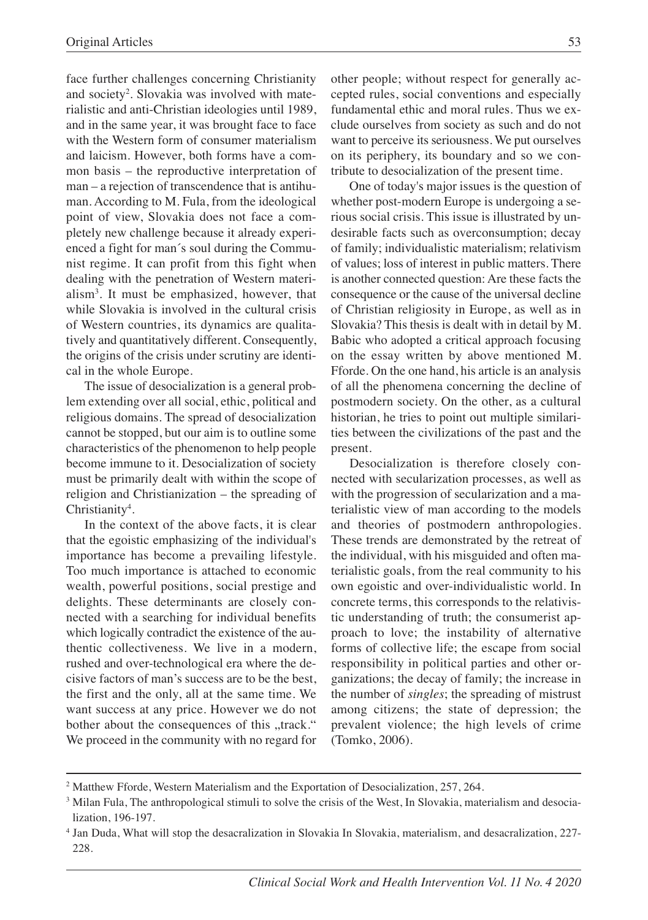face further challenges concerning Christianity and society<sup>2</sup>. Slovakia was involved with materialistic and anti-Christian ideologies until 1989, and in the same year, it was brought face to face with the Western form of consumer materialism and laicism. However, both forms have a common basis – the reproductive interpretation of man – a rejection of transcendence that is antihuman. According to M. Fula, from the ideological point of view, Slovakia does not face a completely new challenge because it already experienced a fight for man´s soul during the Communist regime. It can profit from this fight when dealing with the penetration of Western materialism3 . It must be emphasized, however, that while Slovakia is involved in the cultural crisis of Western countries, its dynamics are qualitatively and quantitatively different. Consequently, the origins of the crisis under scrutiny are identical in the whole Europe.

The issue of desocialization is a general problem extending over all social, ethic, political and religious domains. The spread of desocialization cannot be stopped, but our aim is to outline some characteristics of the phenomenon to help people become immune to it. Desocialization of society must be primarily dealt with within the scope of religion and Christianization – the spreading of Christianity<sup>4</sup>.

In the context of the above facts, it is clear that the egoistic emphasizing of the individual's importance has become a prevailing lifestyle. Too much importance is attached to economic wealth, powerful positions, social prestige and delights. These determinants are closely connected with a searching for individual benefits which logically contradict the existence of the authentic collectiveness. We live in a modern, rushed and over-technological era where the decisive factors of man's success are to be the best, the first and the only, all at the same time. We want success at any price. However we do not bother about the consequences of this "track." We proceed in the community with no regard for

other people; without respect for generally accepted rules, social conventions and especially fundamental ethic and moral rules. Thus we exclude ourselves from society as such and do not want to perceive its seriousness. We put ourselves on its periphery, its boundary and so we contribute to desocialization of the present time.

One of today's major issues is the question of whether post-modern Europe is undergoing a serious social crisis. This issue is illustrated by undesirable facts such as overconsumption; decay of family; individualistic materialism; relativism of values; loss of interest in public matters. There is another connected question: Are these facts the consequence or the cause of the universal decline of Christian religiosity in Europe, as well as in Slovakia? This thesis is dealt with in detail by M. Babic who adopted a critical approach focusing on the essay written by above mentioned M. Fforde. On the one hand, his article is an analysis of all the phenomena concerning the decline of postmodern society. On the other, as a cultural historian, he tries to point out multiple similarities between the civilizations of the past and the present.

Desocialization is therefore closely connected with secularization processes, as well as with the progression of secularization and a materialistic view of man according to the models and theories of postmodern anthropologies. These trends are demonstrated by the retreat of the individual, with his misguided and often materialistic goals, from the real community to his own egoistic and over-individualistic world. In concrete terms, this corresponds to the relativistic understanding of truth; the consumerist approach to love; the instability of alternative forms of collective life; the escape from social responsibility in political parties and other organizations; the decay of family; the increase in the number of *singles*; the spreading of mistrust among citizens; the state of depression; the prevalent violence; the high levels of crime (Tomko, 2006).

<sup>2</sup> Matthew Fforde, Western Materialism and the Exportation of Desocialization, 257, 264.

<sup>&</sup>lt;sup>3</sup> Milan Fula, The anthropological stimuli to solve the crisis of the West, In Slovakia, materialism and desocialization, 196-197.

<sup>4</sup> Jan Duda, What will stop the desacralization in Slovakia In Slovakia, materialism, and desacralization, 227- 228.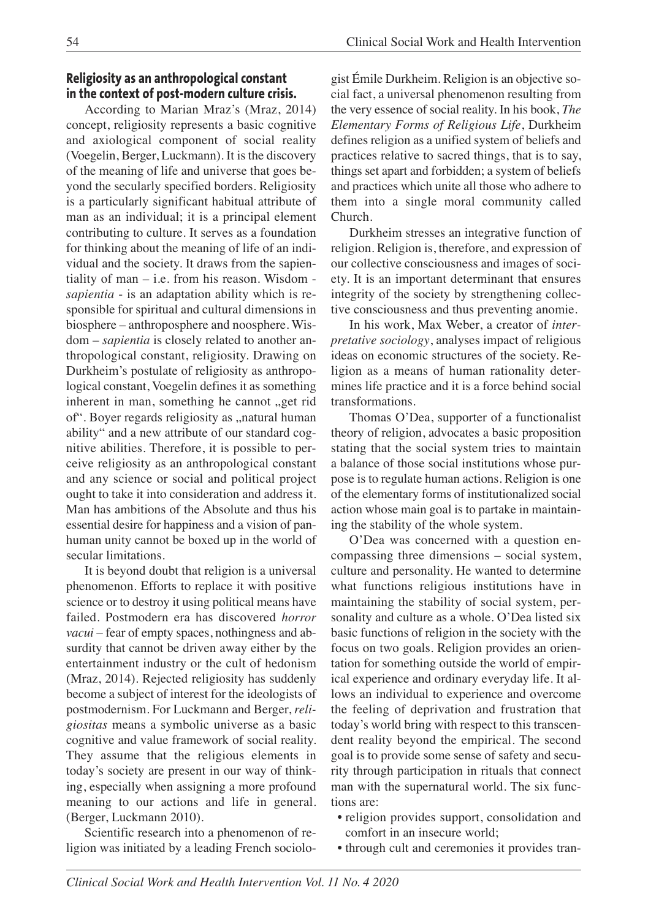#### **Religiosity as an anthropological constant in the context of post-modern culture crisis.**

According to Marian Mraz's (Mraz, 2014) concept, religiosity represents a basic cognitive and axiological component of social reality (Voegelin, Berger, Luckmann). It is the discovery of the meaning of life and universe that goes beyond the secularly specified borders. Religiosity is a particularly significant habitual attribute of man as an individual; it is a principal element contributing to culture. It serves as a foundation for thinking about the meaning of life of an individual and the society. It draws from the sapientiality of man – i.e. from his reason. Wisdom *sapientia* - is an adaptation ability which is responsible for spiritual and cultural dimensions in biosphere – anthroposphere and noosphere. Wisdom – *sapientia* is closely related to another anthropological constant, religiosity. Drawing on Durkheim's postulate of religiosity as anthropological constant, Voegelin defines it as something inherent in man, something he cannot "get rid of". Boyer regards religiosity as "natural human ability" and a new attribute of our standard cognitive abilities. Therefore, it is possible to perceive religiosity as an anthropological constant and any science or social and political project ought to take it into consideration and address it. Man has ambitions of the Absolute and thus his essential desire for happiness and a vision of panhuman unity cannot be boxed up in the world of secular limitations.

It is beyond doubt that religion is a universal phenomenon. Efforts to replace it with positive science or to destroy it using political means have failed. Postmodern era has discovered *horror vacui* – fear of empty spaces, nothingness and absurdity that cannot be driven away either by the entertainment industry or the cult of hedonism (Mraz, 2014). Rejected religiosity has suddenly become a subject of interest for the ideologists of postmodernism. For Luckmann and Berger, *religiositas* means a symbolic universe as a basic cognitive and value framework of social reality. They assume that the religious elements in today's society are present in our way of thinking, especially when assigning a more profound meaning to our actions and life in general. (Berger, Luckmann 2010).

Scientific research into a phenomenon of religion was initiated by a leading French sociologist Émile Durkheim. Religion is an objective social fact, a universal phenomenon resulting from the very essence of social reality. In his book, *The Elementary Forms of Religious Life*, Durkheim defines religion as a unified system of beliefs and practices relative to sacred things, that is to say, things set apart and forbidden; a system of beliefs and practices which unite all those who adhere to them into a single moral community called Church.

Durkheim stresses an integrative function of religion. Religion is, therefore, and expression of our collective consciousness and images of society. It is an important determinant that ensures integrity of the society by strengthening collective consciousness and thus preventing anomie.

In his work, Max Weber, a creator of *interpretative sociology*, analyses impact of religious ideas on economic structures of the society. Religion as a means of human rationality determines life practice and it is a force behind social transformations.

Thomas O'Dea, supporter of a functionalist theory of religion, advocates a basic proposition stating that the social system tries to maintain a balance of those social institutions whose purpose is to regulate human actions. Religion is one of the elementary forms of institutionalized social action whose main goal is to partake in maintaining the stability of the whole system.

O'Dea was concerned with a question encompassing three dimensions – social system, culture and personality. He wanted to determine what functions religious institutions have in maintaining the stability of social system, personality and culture as a whole. O'Dea listed six basic functions of religion in the society with the focus on two goals. Religion provides an orientation for something outside the world of empirical experience and ordinary everyday life. It allows an individual to experience and overcome the feeling of deprivation and frustration that today's world bring with respect to this transcendent reality beyond the empirical. The second goal is to provide some sense of safety and security through participation in rituals that connect man with the supernatural world. The six functions are:

- religion provides support, consolidation and comfort in an insecure world;
- through cult and ceremonies it provides tran-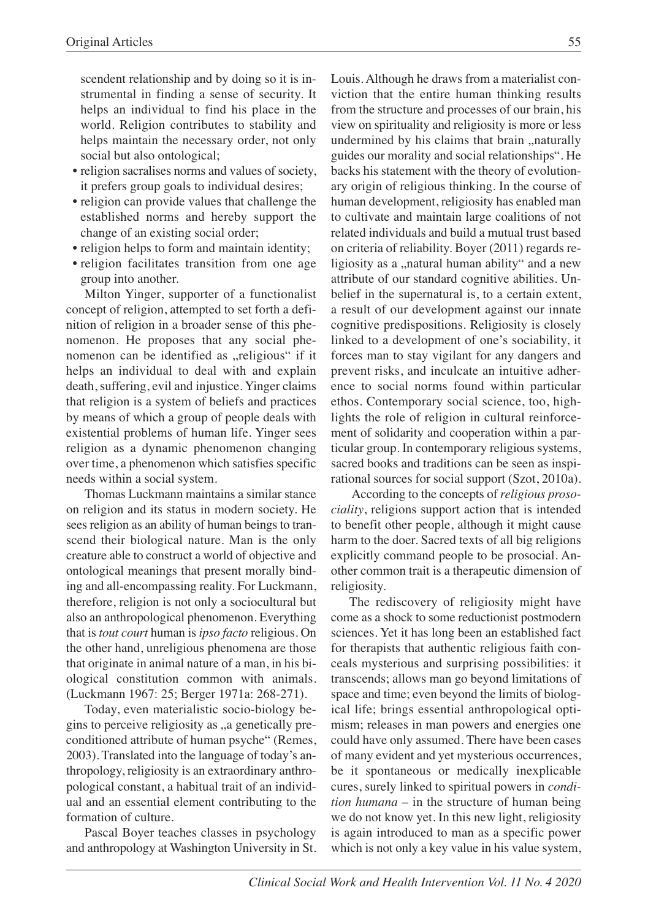scendent relationship and by doing so it is instrumental in finding a sense of security. It helps an individual to find his place in the world. Religion contributes to stability and helps maintain the necessary order, not only social but also ontological;

- religion sacralises norms and values of society, it prefers group goals to individual desires;
- religion can provide values that challenge the established norms and hereby support the change of an existing social order;
- religion helps to form and maintain identity;
- religion facilitates transition from one age group into another.

Milton Yinger, supporter of a functionalist concept of religion, attempted to set forth a definition of religion in a broader sense of this phenomenon. He proposes that any social phenomenon can be identified as "religious" if it helps an individual to deal with and explain death, suffering, evil and injustice. Yinger claims that religion is a system of beliefs and practices by means of which a group of people deals with existential problems of human life. Yinger sees religion as a dynamic phenomenon changing over time, a phenomenon which satisfies specific needs within a social system.

Thomas Luckmann maintains a similar stance on religion and its status in modern society. He sees religion as an ability of human beings to transcend their biological nature. Man is the only creature able to construct a world of objective and ontological meanings that present morally binding and all-encompassing reality. For Luckmann, therefore, religion is not only a sociocultural but also an anthropological phenomenon. Everything that is *tout court* human is *ipso facto* religious. On the other hand, unreligious phenomena are those that originate in animal nature of a man, in his biological constitution common with animals. (Luckmann 1967: 25; Berger 1971a: 268-271).

Today, even materialistic socio-biology begins to perceive religiosity as "a genetically preconditioned attribute of human psyche" (Remes, 2003). Translated into the language of today's anthropology, religiosity is an extraordinary anthropological constant, a habitual trait of an individual and an essential element contributing to the formation of culture.

Pascal Boyer teaches classes in psychology and anthropology at Washington University in St. Louis. Although he draws from a materialist conviction that the entire human thinking results from the structure and processes of our brain, his view on spirituality and religiosity is more or less undermined by his claims that brain "naturally guides our morality and social relationships". He backs his statement with the theory of evolutionary origin of religious thinking. In the course of human development, religiosity has enabled man to cultivate and maintain large coalitions of not related individuals and build a mutual trust based on criteria of reliability. Boyer (2011) regards religiosity as a "natural human ability" and a new attribute of our standard cognitive abilities. Unbelief in the supernatural is, to a certain extent, a result of our development against our innate cognitive predispositions. Religiosity is closely linked to a development of one's sociability, it forces man to stay vigilant for any dangers and prevent risks, and inculcate an intuitive adherence to social norms found within particular ethos. Contemporary social science, too, highlights the role of religion in cultural reinforcement of solidarity and cooperation within a particular group. In contemporary religious systems, sacred books and traditions can be seen as inspirational sources for social support (Szot, 2010a).

According to the concepts of *religious prosociality*, religions support action that is intended to benefit other people, although it might cause harm to the doer. Sacred texts of all big religions explicitly command people to be prosocial. Another common trait is a therapeutic dimension of religiosity.

The rediscovery of religiosity might have come as a shock to some reductionist postmodern sciences. Yet it has long been an established fact for therapists that authentic religious faith conceals mysterious and surprising possibilities: it transcends; allows man go beyond limitations of space and time; even beyond the limits of biological life; brings essential anthropological optimism; releases in man powers and energies one could have only assumed. There have been cases of many evident and yet mysterious occurrences, be it spontaneous or medically inexplicable cures, surely linked to spiritual powers in *condition humana* – in the structure of human being we do not know yet. In this new light, religiosity is again introduced to man as a specific power which is not only a key value in his value system,